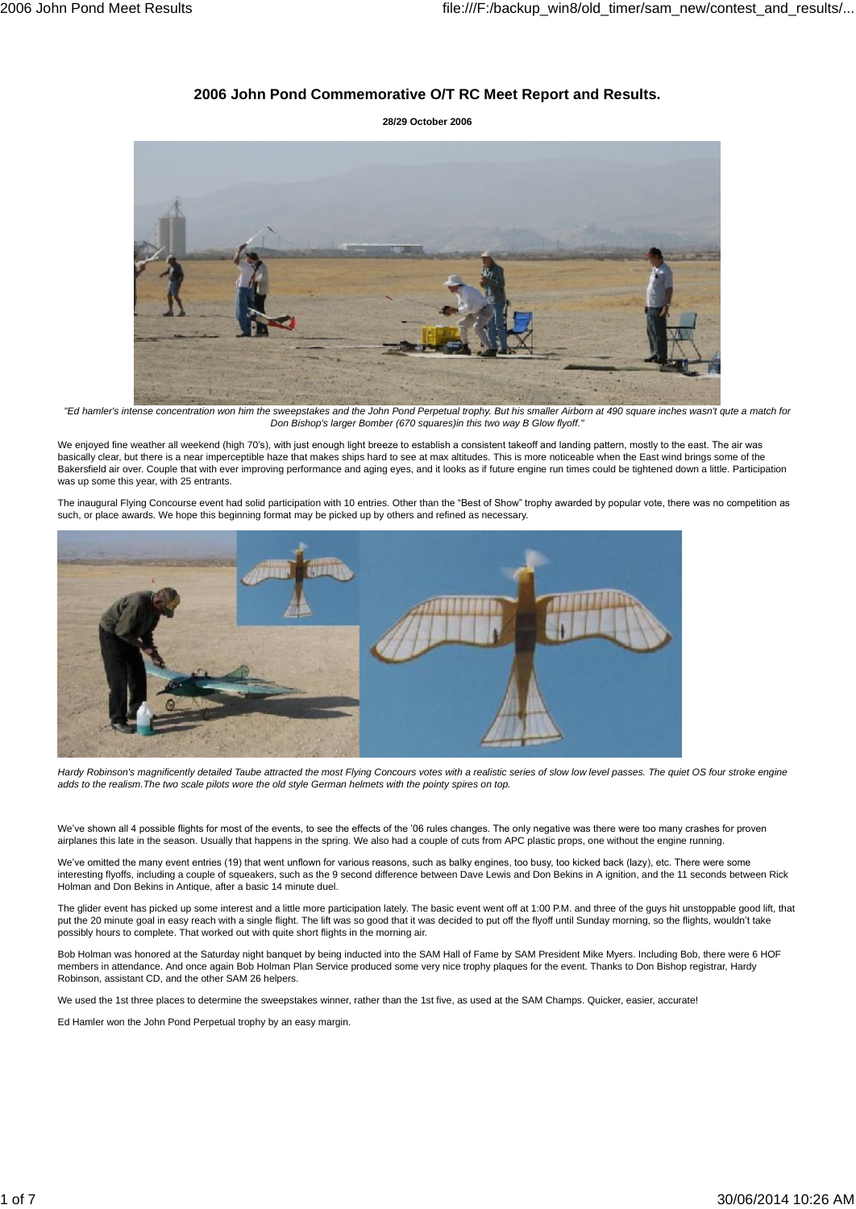## **2006 John Pond Commemorative O/T RC Meet Report and Results.**

**28/29 October 2006**



"Ed hamler's intense concentration won him the sweepstakes and the John Pond Perpetual trophy. But his smaller Airborn at 490 square inches wasn't qute a match for Don Bishop's larger Bomber (670 squares)in this two way B Glow flyoff."

We enjoyed fine weather all weekend (high 70's), with just enough light breeze to establish a consistent takeoff and landing pattern, mostly to the east. The air was basically clear, but there is a near imperceptible haze thatmakes ships hard to see at max altitudes. This is more noticeable when the East wind brings some of the Bakersfield air over. Couple thatwith ever improving performance and aging eyes, and it looks as if future engine run times could be tightened down a little. Participation was up some this year, with 25 entrants.

The inaugural Flying Concourse event had solid participation with 10 entries. Other than the "Best of Show" trophy awarded by popular vote, there was no competition as such, or place awards. We hope this beginning format may be picked up by others and refined as necessary.



Hardy Robinson's magnificently detailed Taube attracted the most Flying Concours votes with a realistic series of slow low level passes. The quiet OS four stroke engine adds to the realism.The two scale pilots wore the old style German helmets with the pointy spires on top.

We've shown all 4 possible flights for most of the events, to see the effects of the '06 rules changes. The only negative was there were too many crashes for proven airplanes this late in the season. Usually that happens in the spring. We also had a couple of cuts from APC plastic props, one without the engine running.

We've omitted the many event entries (19) that went unflown for various reasons, such as balky engines, too busy, too kicked back (lazy), etc. There were some interesting flyoffs, including a couple of squeakers, such as the 9 second difference between Dave Lewis and Don Bekins in A ignition, and the 11 seconds between Rick Holman and Don Bekins in Antique, after a basic 14 minute duel.

The glider event has picked up some interest and a little more participation lately. The basic event went off at 1:00 P.M. and three of the guys hit unstoppable good lift, that wand the 20 minute and suppose the 20 minute grow of the distance of the distance in the single goal interest and a little more participation lately. The basic event went off at 1:00 P.M. and three of the guys hit unstoppa possibly hours to complete. That worked out with quite short flights in the morning air.

Bob Holman was honored at the Saturday night banquet by being inducted into the SAM Hall of Fame by SAM President Mike Myers. Including Bob, there were 6 HOF members in attendance. And once again Bob Holman Plan Service produced some very nice trophy plaques for the event. Thanks to Don Bishop registrar, Hardy Robinson, assistant CD, and the other SAM 26 helpers.

We used the 1st three places to determine the sweepstakes winner, rather than the 1st five, as used at the SAM Champs. Quicker, easier, accurate!

Ed Hamler won the John Pond Perpetual trophy by an easy margin.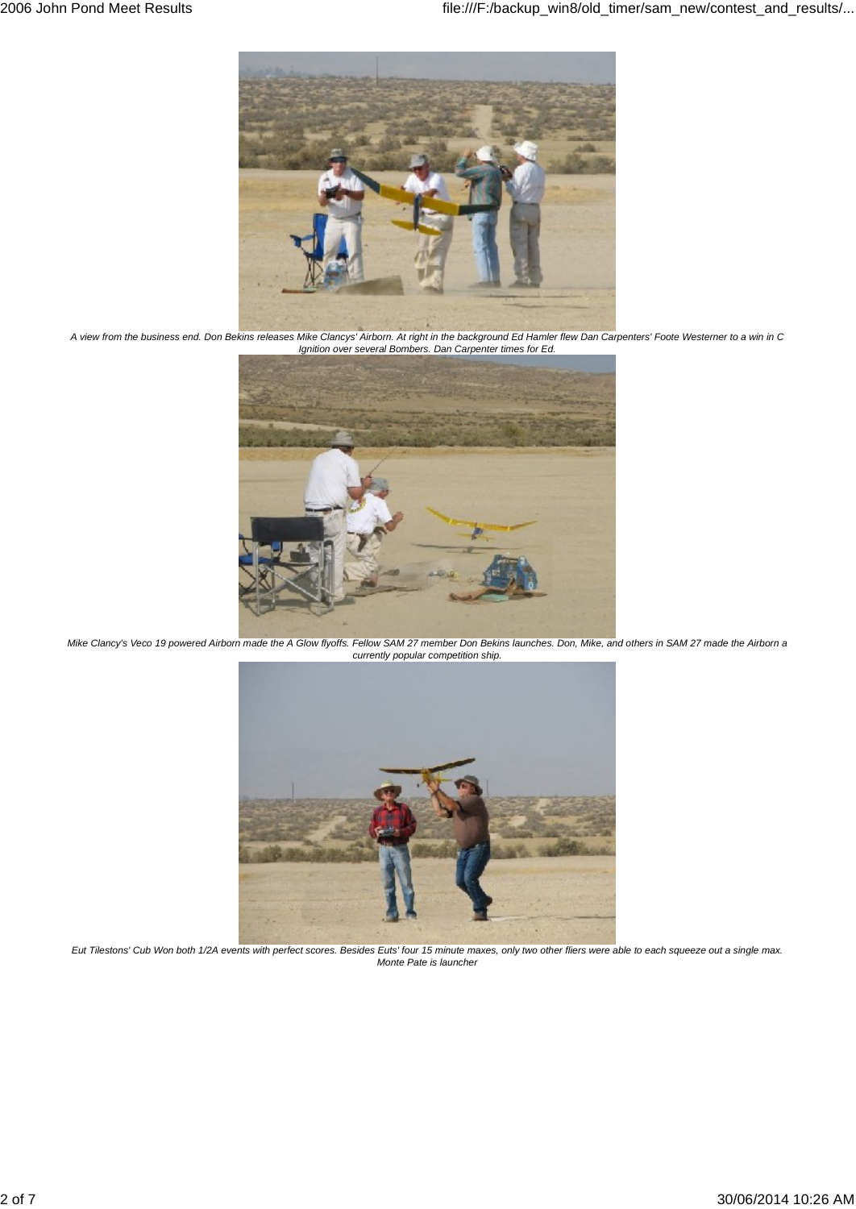

A view from the business end. Don Bekins releases Mike Clancys' Airborn. At right in the background Ed Hamler flew Dan Carpenters' Foote Westerner to a win in C Ignition over several Bombers. Dan Carpenter times for Ed.



Mike Clancy's Veco 19 powered Airborn made the A Glow flyoffs. Fellow SAM 27 member Don Bekins launches. Don, Mike, and others in SAM 27 made the Airborn a currently popular competition ship.



Eut Tilestons' Cub Won both 1/2A events with perfect scores. Besides Euts' four 15 minute maxes, only two other fliers were able to each squeeze out a single max. Monte Pate is launcher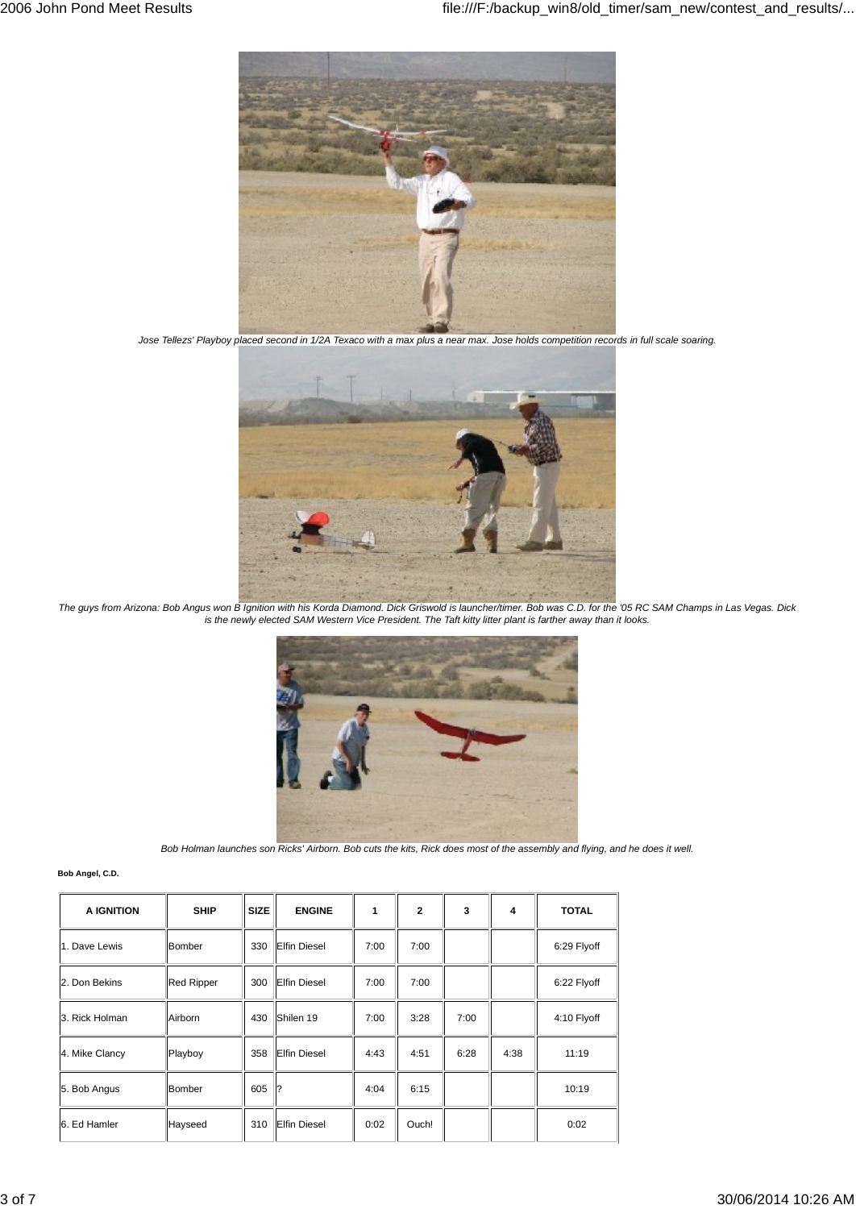

Jose Tellezs' Playboy placed second in 1/2A Texaco with a max plus a near max. Jose holds competition records in full scale soaring.



The guys from Arizona: Bob Angus won B Ignition with his Korda Diamond. Dick Griswold is launcher/timer. Bob was C.D. for the '05 RC SAM Champs in Las Vegas. Dick is the newly elected SAM Western Vice President. The Taft kitty litter plant is farther away than it looks.



Bob Holman launches son Ricks' Airborn. Bob cuts the kits, Rick does most of the assembly and flying, and he does it well.

| Bob Angel, C.D. |  |
|-----------------|--|

| A IGNITION     | <b>SHIP</b>       | <b>SIZE</b> | <b>ENGINE</b>       | 1    | $\overline{2}$ | 3    | 4    | <b>TOTAL</b> |
|----------------|-------------------|-------------|---------------------|------|----------------|------|------|--------------|
| 1. Dave Lewis  | Bomber            | 330         | <b>Elfin Diesel</b> | 7:00 | 7:00           |      |      | 6:29 Flyoff  |
| 2. Don Bekins  | <b>Red Ripper</b> | 300         | <b>Elfin Diesel</b> | 7:00 | 7:00           |      |      | 6:22 Flyoff  |
| 3. Rick Holman | Airborn           | 430         | Shilen 19           | 7:00 | 3:28           | 7:00 |      | 4:10 Flyoff  |
| 4. Mike Clancy | Playboy           | 358         | <b>Elfin Diesel</b> | 4:43 | 4:51           | 6:28 | 4:38 | 11:19        |
| 5. Bob Angus   | Bomber            | 605         | 1?                  | 4:04 | 6:15           |      |      | 10:19        |
| 6. Ed Hamler   | Hayseed           | 310         | <b>Elfin Diesel</b> | 0:02 | Ouch!          |      |      | 0:02         |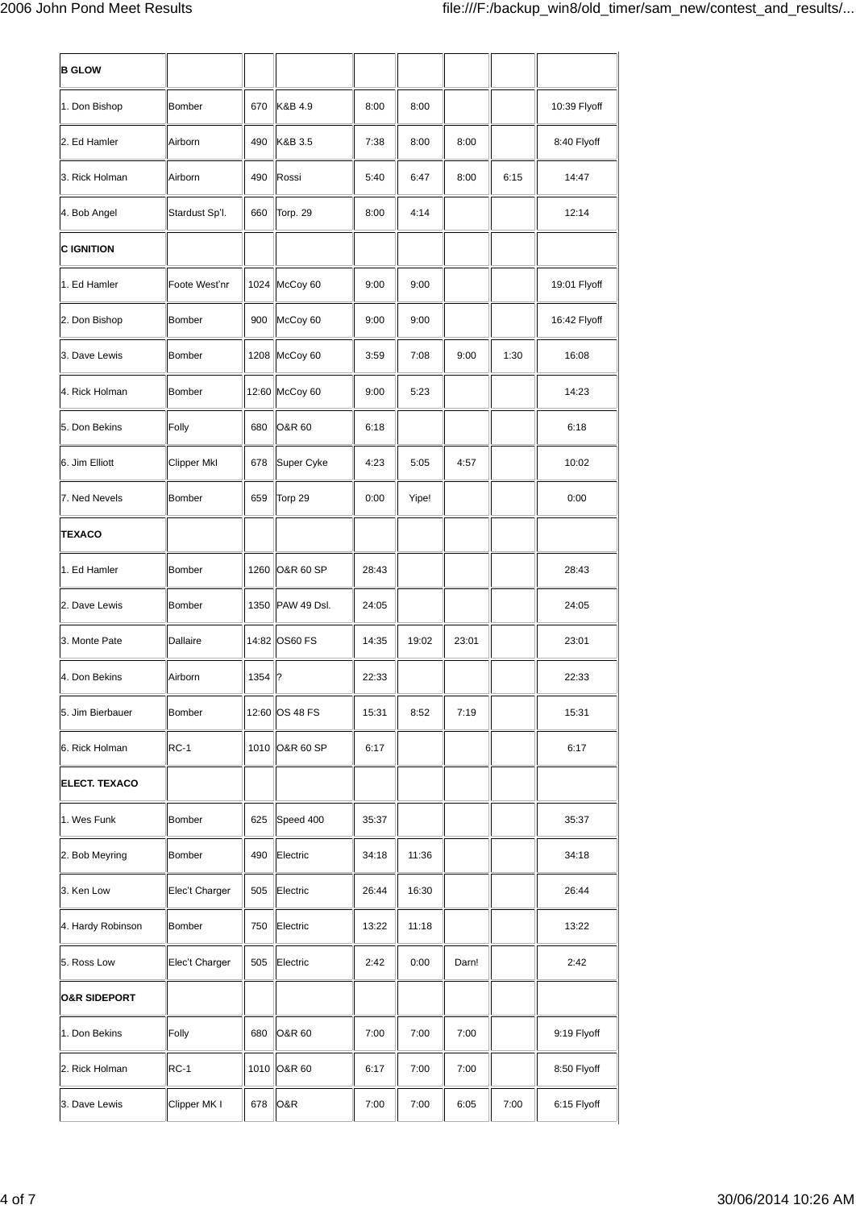| <b>B GLOW</b>           |                    |      |                  |       |       |       |      |              |
|-------------------------|--------------------|------|------------------|-------|-------|-------|------|--------------|
| 1. Don Bishop           | Bomber             | 670  | K&B 4.9          | 8:00  | 8:00  |       |      | 10:39 Flyoff |
| 2. Ed Hamler            | Airborn            | 490  | K&B 3.5          | 7:38  | 8:00  | 8:00  |      | 8:40 Flyoff  |
| 3. Rick Holman          | Airborn            | 490  | Rossi            | 5:40  | 6:47  | 8:00  | 6:15 | 14:47        |
| 4. Bob Angel            | Stardust Sp'l.     | 660  | Torp. 29         | 8:00  | 4:14  |       |      | 12:14        |
| <b>C IGNITION</b>       |                    |      |                  |       |       |       |      |              |
| 1. Ed Hamler            | Foote West'nr      |      | 1024 McCoy 60    | 9:00  | 9:00  |       |      | 19:01 Flyoff |
| 2. Don Bishop           | Bomber             | 900  | McCoy 60         | 9:00  | 9:00  |       |      | 16:42 Flyoff |
| 3. Dave Lewis           | Bomber             |      | 1208 McCoy 60    | 3:59  | 7:08  | 9:00  | 1:30 | 16:08        |
| 4. Rick Holman          | Bomber             |      | 12:60 McCoy 60   | 9:00  | 5:23  |       |      | 14:23        |
| 5. Don Bekins           | Folly              | 680  | O&R 60           | 6:18  |       |       |      | 6:18         |
| 6. Jim Elliott          | <b>Clipper MkI</b> | 678  | Super Cyke       | 4:23  | 5:05  | 4:57  |      | 10:02        |
| 7. Ned Nevels           | Bomber             | 659  | Torp 29          | 0:00  | Yipe! |       |      | 0:00         |
| TEXACO                  |                    |      |                  |       |       |       |      |              |
| 1. Ed Hamler            | Bomber             | 1260 | O&R 60 SP        | 28:43 |       |       |      | 28:43        |
| 2. Dave Lewis           | Bomber             |      | 1350 PAW 49 Dsl. | 24:05 |       |       |      | 24:05        |
| 3. Monte Pate           | Dallaire           |      | 14:82 OS60 FS    | 14:35 | 19:02 | 23:01 |      | 23:01        |
| 4. Don Bekins           | Airborn            | 1354 | 1?               | 22:33 |       |       |      | 22:33        |
| 5. Jim Bierbauer        | Bomber             |      | 12:60 OS 48 FS   | 15:31 | 8:52  | 7:19  |      | 15:31        |
| 6. Rick Holman          | RC-1               |      | 1010 O&R 60 SP   | 6:17  |       |       |      | 6:17         |
| ELECT. TEXACO           |                    |      |                  |       |       |       |      |              |
| 1. Wes Funk             | Bomber             | 625  | Speed 400        | 35:37 |       |       |      | 35:37        |
| 2. Bob Meyring          | Bomber             | 490  | Electric         | 34:18 | 11:36 |       |      | 34:18        |
| 3. Ken Low              | Elec't Charger     | 505  | Electric         | 26:44 | 16:30 |       |      | 26:44        |
| 4. Hardy Robinson       | Bomber             | 750  | Electric         | 13:22 | 11:18 |       |      | 13:22        |
| 5. Ross Low             | Elec't Charger     | 505  | Electric         | 2:42  | 0:00  | Darn! |      | 2:42         |
| <b>O&amp;R SIDEPORT</b> |                    |      |                  |       |       |       |      |              |
| 1. Don Bekins           | Folly              | 680  | O&R 60           | 7:00  | 7:00  | 7:00  |      | 9:19 Flyoff  |
| 2. Rick Holman          | $RC-1$             |      | 1010 O&R 60      | 6:17  | 7:00  | 7:00  |      | 8:50 Flyoff  |
| 3. Dave Lewis           | Clipper MK I       | 678  | O&R              | 7:00  | 7:00  | 6:05  | 7:00 | 6:15 Flyoff  |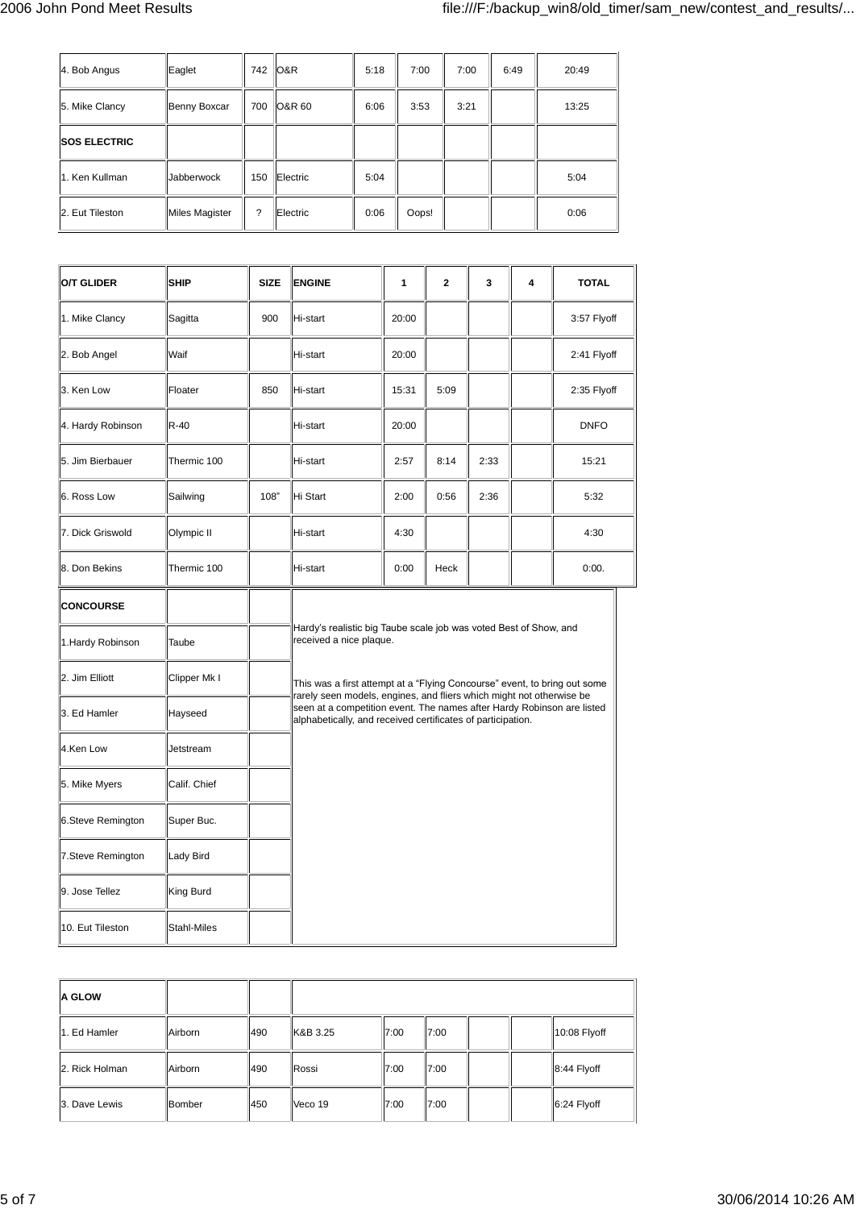| 4. Bob Angus        | Eaglet            | 742 | O&R      | 5:18 | 7:00  | 7:00 | 6:49 | 20:49 |
|---------------------|-------------------|-----|----------|------|-------|------|------|-------|
| 5. Mike Clancy      | Benny Boxcar      | 700 | O&R 60   | 6:06 | 3:53  | 3:21 |      | 13:25 |
| <b>SOS ELECTRIC</b> |                   |     |          |      |       |      |      |       |
| 1. Ken Kullman      | <b>Jabberwock</b> | 150 | Electric | 5:04 |       |      |      | 5:04  |
| 2. Eut Tileston     | Miles Magister    | ?   | Electric | 0:06 | Oops! |      |      | 0:06  |

| O/T GLIDER        | <b>SHIP</b>  | <b>SIZE</b> | <b>ENGINE</b>                                                                                                                                                                                                 | 1     | $\mathbf{2}$ | 3    | 4 | <b>TOTAL</b> |
|-------------------|--------------|-------------|---------------------------------------------------------------------------------------------------------------------------------------------------------------------------------------------------------------|-------|--------------|------|---|--------------|
| 1. Mike Clancy    | Sagitta      | 900         | Hi-start                                                                                                                                                                                                      | 20:00 |              |      |   | 3:57 Flyoff  |
| 2. Bob Angel      | Waif         |             | Hi-start                                                                                                                                                                                                      | 20:00 |              |      |   | 2:41 Flyoff  |
| 3. Ken Low        | Floater      | 850         | Hi-start                                                                                                                                                                                                      | 15:31 | 5:09         |      |   | 2:35 Flyoff  |
| 4. Hardy Robinson | $R-40$       |             | Hi-start                                                                                                                                                                                                      | 20:00 |              |      |   | <b>DNFO</b>  |
| 5. Jim Bierbauer  | Thermic 100  |             | Hi-start                                                                                                                                                                                                      | 2:57  | 8:14         | 2:33 |   | 15:21        |
| 6. Ross Low       | Sailwing     | 108"        | Hi Start                                                                                                                                                                                                      | 2:00  | 0:56         | 2:36 |   | 5:32         |
| 7. Dick Griswold  | Olympic II   |             | Hi-start                                                                                                                                                                                                      | 4:30  |              |      |   | 4:30         |
| 8. Don Bekins     | Thermic 100  |             | Hi-start                                                                                                                                                                                                      | 0:00  | Heck         |      |   | 0:00.        |
| <b>CONCOURSE</b>  |              |             |                                                                                                                                                                                                               |       |              |      |   |              |
| 1. Hardy Robinson | Taube        |             | Hardy's realistic big Taube scale job was voted Best of Show, and<br>received a nice plaque.                                                                                                                  |       |              |      |   |              |
| 2. Jim Elliott    | Clipper Mk I |             | This was a first attempt at a "Flying Concourse" event, to bring out some                                                                                                                                     |       |              |      |   |              |
| 3. Ed Hamler      | Hayseed      |             | rarely seen models, engines, and fliers which might not otherwise be<br>seen at a competition event. The names after Hardy Robinson are listed<br>alphabetically, and received certificates of participation. |       |              |      |   |              |
| 4.Ken Low         | Jetstream    |             |                                                                                                                                                                                                               |       |              |      |   |              |
| 5. Mike Myers     | Calif. Chief |             |                                                                                                                                                                                                               |       |              |      |   |              |
| 6.Steve Remington | Super Buc.   |             |                                                                                                                                                                                                               |       |              |      |   |              |
| 7.Steve Remington | Lady Bird    |             |                                                                                                                                                                                                               |       |              |      |   |              |
| 9. Jose Tellez    | King Burd    |             |                                                                                                                                                                                                               |       |              |      |   |              |
| 10. Eut Tileston  | Stahl-Miles  |             |                                                                                                                                                                                                               |       |              |      |   |              |

| <b>A GLOW</b>  |         |     |          |      |      |              |
|----------------|---------|-----|----------|------|------|--------------|
| 1. Ed Hamler   | Airborn | 490 | K&B 3.25 | 7:00 | 7:00 | 10:08 Flyoff |
| 2. Rick Holman | Airborn | 490 | Rossi    | 7:00 | 7:00 | 8:44 Flyoff  |
| 3. Dave Lewis  | Bomber  | 450 | Veco 19  | 7:00 | 7:00 | 6:24 Flyoff  |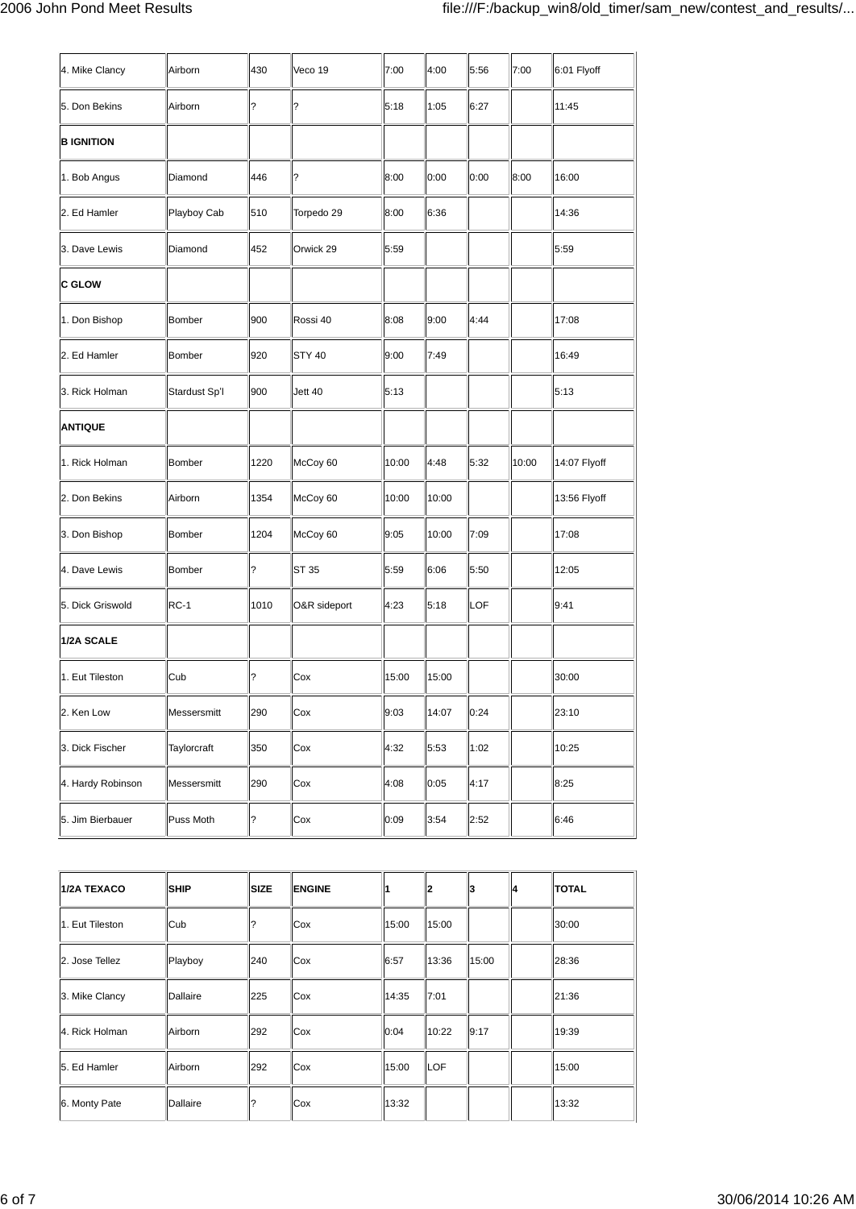| 4. Mike Clancy    | Airborn       | 430  | Veco 19       | 7:00  | 4:00  | 5:56       | 7:00  | 6:01 Flyoff  |
|-------------------|---------------|------|---------------|-------|-------|------------|-------|--------------|
| 5. Don Bekins     | Airborn       | ?    | ?             | 5:18  | 1:05  | 6:27       |       | 11:45        |
| <b>B IGNITION</b> |               |      |               |       |       |            |       |              |
| 1. Bob Angus      | Diamond       | 446  | ?             | 8:00  | 0:00  | 0:00       | 8:00  | 16:00        |
| 2. Ed Hamler      | Playboy Cab   | 510  | Torpedo 29    | 8:00  | 6:36  |            |       | 14:36        |
| 3. Dave Lewis     | Diamond       | 452  | Orwick 29     | 5:59  |       |            |       | 5:59         |
| <b>C GLOW</b>     |               |      |               |       |       |            |       |              |
| 1. Don Bishop     | Bomber        | 900  | Rossi 40      | 8:08  | 9:00  | 4:44       |       | 17:08        |
| 2. Ed Hamler      | Bomber        | 920  | <b>STY 40</b> | 9:00  | 7:49  |            |       | 16:49        |
| 3. Rick Holman    | Stardust Sp'l | 900  | Jett 40       | 5:13  |       |            |       | 5:13         |
| <b>ANTIQUE</b>    |               |      |               |       |       |            |       |              |
| 1. Rick Holman    | Bomber        | 1220 | McCoy 60      | 10:00 | 4:48  | 5:32       | 10:00 | 14:07 Flyoff |
| 2. Don Bekins     | Airborn       | 1354 | McCoy 60      | 10:00 | 10:00 |            |       | 13:56 Flyoff |
| 3. Don Bishop     | Bomber        | 1204 | McCoy 60      | 9:05  | 10:00 | 7:09       |       | 17:08        |
| 4. Dave Lewis     | <b>Bomber</b> | ?    | ST 35         | 5:59  | 6:06  | 5:50       |       | 12:05        |
| 5. Dick Griswold  | <b>RC-1</b>   | 1010 | O&R sideport  | 4:23  | 5:18  | <b>LOF</b> |       | 9:41         |
| 1/2A SCALE        |               |      |               |       |       |            |       |              |
| 1. Eut Tileston   | Cub           | ?    | Cox           | 15:00 | 15:00 |            |       | 30:00        |
| 2. Ken Low        | Messersmitt   | 290  | Cox           | 9:03  | 14:07 | 0:24       |       | 23:10        |
| 3. Dick Fischer   | Taylorcraft   | 350  | Cox           | 4:32  | 5:53  | 1:02       |       | 10:25        |
| 4. Hardy Robinson | Messersmitt   | 290  | Cox           | 4:08  | 0:05  | 4:17       |       | 8:25         |
| 5. Jim Bierbauer  | Puss Moth     | ?    | Cox           | 0:09  | 3:54  | 2:52       |       | 6:46         |

| 1/2A TEXACO     | <b>SHIP</b> | <b>SIZE</b> | <b>ENGINE</b> |       | 12    | 13    | 14 | <b>TOTAL</b> |
|-----------------|-------------|-------------|---------------|-------|-------|-------|----|--------------|
| 1. Eut Tileston | Cub         |             | Cox           | 15:00 | 15:00 |       |    | 30:00        |
| 2. Jose Tellez  | Playboy     | 240         | Cox           | 6:57  | 13:36 | 15:00 |    | 28:36        |
| 3. Mike Clancy  | Dallaire    | 225         | Cox           | 14:35 | 7:01  |       |    | 21:36        |
| 4. Rick Holman  | Airborn     | 292         | Cox           | 0:04  | 10:22 | 9:17  |    | 19:39        |
| 5. Ed Hamler    | Airborn     | 292         | Cox           | 15:00 | LOF   |       |    | 15:00        |
| 6. Monty Pate   | Dallaire    |             | Cox           | 13:32 |       |       |    | 13:32        |